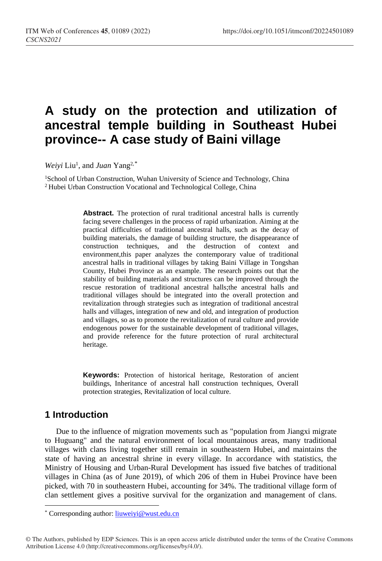# **A study on the protection and utilization of ancestral temple building in Southeast Hubei province-- A case study of Baini village**

Weiyi Liu<sup>1</sup>, and *Juan* Yang<sup>2,[\\*](#page-0-0)</sup>

<sup>1</sup>School of Urban Construction, Wuhan University of Science and Technology, China 2 Hubei Urban Construction Vocational and Technological College, China

> Abstract. The protection of rural traditional ancestral halls is currently facing severe challenges in the process of rapid urbanization. Aiming at the practical difficulties of traditional ancestral halls, such as the decay of building materials, the damage of building structure, the disappearance of construction techniques, and the destruction of context and environment,this paper analyzes the contemporary value of traditional ancestral halls in traditional villages by taking Baini Village in Tongshan County, Hubei Province as an example. The research points out that the stability of building materials and structures can be improved through the rescue restoration of traditional ancestral halls;the ancestral halls and traditional villages should be integrated into the overall protection and revitalization through strategies such as integration of traditional ancestral halls and villages, integration of new and old, and integration of production and villages, so as to promote the revitalization of rural culture and provide endogenous power for the sustainable development of traditional villages, and provide reference for the future protection of rural architectural heritage.

> **Keywords:** Protection of historical heritage, Restoration of ancient buildings, Inheritance of ancestral hall construction techniques, Overall protection strategies, Revitalization of local culture.

## **1 Introduction**

 $\overline{a}$ 

Due to the influence of migration movements such as "population from Jiangxi migrate to Huguang" and the natural environment of local mountainous areas, many traditional villages with clans living together still remain in southeastern Hubei, and maintains the state of having an ancestral shrine in every village. In accordance with statistics, the Ministry of Housing and Urban-Rural Development has issued five batches of traditional villages in China (as of June 2019), of which 206 of them in Hubei Province have been picked, with 70 in southeastern Hubei, accounting for 34%. The traditional village form of clan settlement gives a positive survival for the organization and management of clans.

<span id="page-0-0"></span><sup>\*</sup> Corresponding author: liuweiyi@wust.edu.cn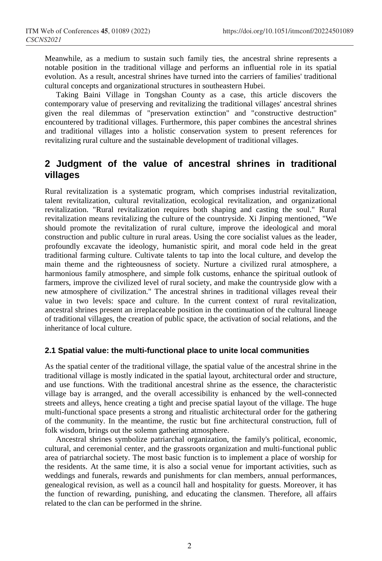Meanwhile, as a medium to sustain such family ties, the ancestral shrine represents a notable position in the traditional village and performs an influential role in its spatial evolution. As a result, ancestral shrines have turned into the carriers of families' traditional cultural concepts and organizational structures in southeastern Hubei.

Taking Baini Village in Tongshan County as a case, this article discovers the contemporary value of preserving and revitalizing the traditional villages' ancestral shrines given the real dilemmas of "preservation extinction" and "constructive destruction" encountered by traditional villages. Furthermore, this paper combines the ancestral shrines and traditional villages into a holistic conservation system to present references for revitalizing rural culture and the sustainable development of traditional villages.

# **2 Judgment of the value of ancestral shrines in traditional villages**

Rural revitalization is a systematic program, which comprises industrial revitalization, talent revitalization, cultural revitalization, ecological revitalization, and organizational revitalization. "Rural revitalization requires both shaping and casting the soul." Rural revitalization means revitalizing the culture of the countryside. Xi Jinping mentioned, "We should promote the revitalization of rural culture, improve the ideological and moral construction and public culture in rural areas. Using the core socialist values as the leader, profoundly excavate the ideology, humanistic spirit, and moral code held in the great traditional farming culture. Cultivate talents to tap into the local culture, and develop the main theme and the righteousness of society. Nurture a civilized rural atmosphere, a harmonious family atmosphere, and simple folk customs, enhance the spiritual outlook of farmers, improve the civilized level of rural society, and make the countryside glow with a new atmosphere of civilization." The ancestral shrines in traditional villages reveal their value in two levels: space and culture. In the current context of rural revitalization, ancestral shrines present an irreplaceable position in the continuation of the cultural lineage of traditional villages, the creation of public space, the activation of social relations, and the inheritance of local culture.

#### **2.1 Spatial value: the multi-functional place to unite local communities**

As the spatial center of the traditional village, the spatial value of the ancestral shrine in the traditional village is mostly indicated in the spatial layout, architectural order and structure, and use functions. With the traditional ancestral shrine as the essence, the characteristic village bay is arranged, and the overall accessibility is enhanced by the well-connected streets and alleys, hence creating a tight and precise spatial layout of the village. The huge multi-functional space presents a strong and ritualistic architectural order for the gathering of the community. In the meantime, the rustic but fine architectural construction, full of folk wisdom, brings out the solemn gathering atmosphere.

Ancestral shrines symbolize patriarchal organization, the family's political, economic, cultural, and ceremonial center, and the grassroots organization and multi-functional public area of patriarchal society. The most basic function is to implement a place of worship for the residents. At the same time, it is also a social venue for important activities, such as weddings and funerals, rewards and punishments for clan members, annual performances, genealogical revision, as well as a council hall and hospitality for guests. Moreover, it has the function of rewarding, punishing, and educating the clansmen. Therefore, all affairs related to the clan can be performed in the shrine.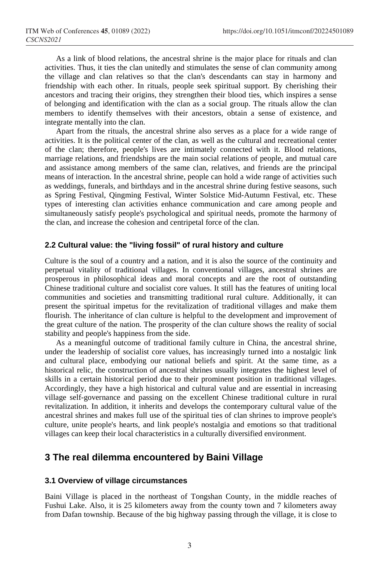As a link of blood relations, the ancestral shrine is the major place for rituals and clan activities. Thus, it ties the clan unitedly and stimulates the sense of clan community among the village and clan relatives so that the clan's descendants can stay in harmony and friendship with each other. In rituals, people seek spiritual support. By cherishing their ancestors and tracing their origins, they strengthen their blood ties, which inspires a sense of belonging and identification with the clan as a social group. The rituals allow the clan members to identify themselves with their ancestors, obtain a sense of existence, and integrate mentally into the clan.

Apart from the rituals, the ancestral shrine also serves as a place for a wide range of activities. It is the political center of the clan, as well as the cultural and recreational center of the clan; therefore, people's lives are intimately connected with it. Blood relations, marriage relations, and friendships are the main social relations of people, and mutual care and assistance among members of the same clan, relatives, and friends are the principal means of interaction. In the ancestral shrine, people can hold a wide range of activities such as weddings, funerals, and birthdays and in the ancestral shrine during festive seasons, such as Spring Festival, Qingming Festival, Winter Solstice Mid-Autumn Festival, etc. These types of interesting clan activities enhance communication and care among people and simultaneously satisfy people's psychological and spiritual needs, promote the harmony of the clan, and increase the cohesion and centripetal force of the clan.

#### **2.2 Cultural value: the "living fossil" of rural history and culture**

Culture is the soul of a country and a nation, and it is also the source of the continuity and perpetual vitality of traditional villages. In conventional villages, ancestral shrines are prosperous in philosophical ideas and moral concepts and are the root of outstanding Chinese traditional culture and socialist core values. It still has the features of uniting local communities and societies and transmitting traditional rural culture. Additionally, it can present the spiritual impetus for the revitalization of traditional villages and make them flourish. The inheritance of clan culture is helpful to the development and improvement of the great culture of the nation. The prosperity of the clan culture shows the reality of social stability and people's happiness from the side.

As a meaningful outcome of traditional family culture in China, the ancestral shrine, under the leadership of socialist core values, has increasingly turned into a nostalgic link and cultural place, embodying our national beliefs and spirit. At the same time, as a historical relic, the construction of ancestral shrines usually integrates the highest level of skills in a certain historical period due to their prominent position in traditional villages. Accordingly, they have a high historical and cultural value and are essential in increasing village self-governance and passing on the excellent Chinese traditional culture in rural revitalization. In addition, it inherits and develops the contemporary cultural value of the ancestral shrines and makes full use of the spiritual ties of clan shrines to improve people's culture, unite people's hearts, and link people's nostalgia and emotions so that traditional villages can keep their local characteristics in a culturally diversified environment.

## **3 The real dilemma encountered by Baini Village**

#### **3.1 Overview of village circumstances**

Baini Village is placed in the northeast of Tongshan County, in the middle reaches of Fushui Lake. Also, it is 25 kilometers away from the county town and 7 kilometers away from Dafan township. Because of the big highway passing through the village, it is close to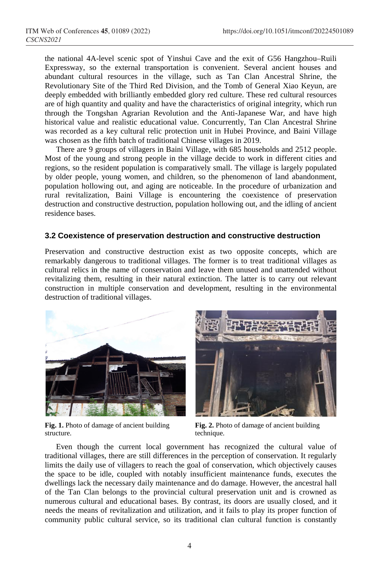the national 4A-level scenic spot of Yinshui Cave and the exit of G56 Hangzhou–Ruili Expressway, so the external transportation is convenient. Several ancient houses and abundant cultural resources in the village, such as Tan Clan Ancestral Shrine, the Revolutionary Site of the Third Red Division, and the Tomb of General Xiao Keyun, are deeply embedded with brilliantly embedded glory red culture. These red cultural resources are of high quantity and quality and have the characteristics of original integrity, which run through the Tongshan Agrarian Revolution and the Anti-Japanese War, and have high historical value and realistic educational value. Concurrently, Tan Clan Ancestral Shrine was recorded as a key cultural relic protection unit in Hubei Province, and Baini Village was chosen as the fifth batch of traditional Chinese villages in 2019.

There are 9 groups of villagers in Baini Village, with 685 households and 2512 people. Most of the young and strong people in the village decide to work in different cities and regions, so the resident population is comparatively small. The village is largely populated by older people, young women, and children, so the phenomenon of land abandonment, population hollowing out, and aging are noticeable. In the procedure of urbanization and rural revitalization, Baini Village is encountering the coexistence of preservation destruction and constructive destruction, population hollowing out, and the idling of ancient residence bases.

## **3.2 Coexistence of preservation destruction and constructive destruction**

Preservation and constructive destruction exist as two opposite concepts, which are remarkably dangerous to traditional villages. The former is to treat traditional villages as cultural relics in the name of conservation and leave them unused and unattended without revitalizing them, resulting in their natural extinction. The latter is to carry out relevant construction in multiple conservation and development, resulting in the environmental destruction of traditional villages.





**Fig. 1.** Photo of damage of ancient building structure.

**Fig. 2.** Photo of damage of ancient building technique.

Even though the current local government has recognized the cultural value of traditional villages, there are still differences in the perception of conservation. It regularly limits the daily use of villagers to reach the goal of conservation, which objectively causes the space to be idle, coupled with notably insufficient maintenance funds, executes the dwellings lack the necessary daily maintenance and do damage. However, the ancestral hall of the Tan Clan belongs to the provincial cultural preservation unit and is crowned as numerous cultural and educational bases. By contrast, its doors are usually closed, and it needs the means of revitalization and utilization, and it fails to play its proper function of community public cultural service, so its traditional clan cultural function is constantly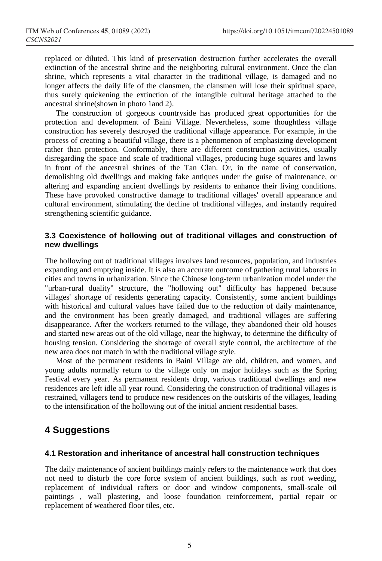replaced or diluted. This kind of preservation destruction further accelerates the overall extinction of the ancestral shrine and the neighboring cultural environment. Once the clan shrine, which represents a vital character in the traditional village, is damaged and no longer affects the daily life of the clansmen, the clansmen will lose their spiritual space, thus surely quickening the extinction of the intangible cultural heritage attached to the ancestral shrine(shown in photo 1and 2).

The construction of gorgeous countryside has produced great opportunities for the protection and development of Baini Village. Nevertheless, some thoughtless village construction has severely destroyed the traditional village appearance. For example, in the process of creating a beautiful village, there is a phenomenon of emphasizing development rather than protection. Conformably, there are different construction activities, usually disregarding the space and scale of traditional villages, producing huge squares and lawns in front of the ancestral shrines of the Tan Clan. Or, in the name of conservation, demolishing old dwellings and making fake antiques under the guise of maintenance, or altering and expanding ancient dwellings by residents to enhance their living conditions. These have provoked constructive damage to traditional villages' overall appearance and cultural environment, stimulating the decline of traditional villages, and instantly required strengthening scientific guidance.

## **3.3 Coexistence of hollowing out of traditional villages and construction of new dwellings**

The hollowing out of traditional villages involves land resources, population, and industries expanding and emptying inside. It is also an accurate outcome of gathering rural laborers in cities and towns in urbanization. Since the Chinese long-term urbanization model under the "urban-rural duality" structure, the "hollowing out" difficulty has happened because villages' shortage of residents generating capacity. Consistently, some ancient buildings with historical and cultural values have failed due to the reduction of daily maintenance, and the environment has been greatly damaged, and traditional villages are suffering disappearance. After the workers returned to the village, they abandoned their old houses and started new areas out of the old village, near the highway, to determine the difficulty of housing tension. Considering the shortage of overall style control, the architecture of the new area does not match in with the traditional village style.

Most of the permanent residents in Baini Village are old, children, and women, and young adults normally return to the village only on major holidays such as the Spring Festival every year. As permanent residents drop, various traditional dwellings and new residences are left idle all year round. Considering the construction of traditional villages is restrained, villagers tend to produce new residences on the outskirts of the villages, leading to the intensification of the hollowing out of the initial ancient residential bases.

## **4 Suggestions**

#### **4.1 Restoration and inheritance of ancestral hall construction techniques**

The daily maintenance of ancient buildings mainly refers to the maintenance work that does not need to disturb the core force system of ancient buildings, such as roof weeding, replacement of individual rafters or door and window components, small-scale oil paintings , wall plastering, and loose foundation reinforcement, partial repair or replacement of weathered floor tiles, etc.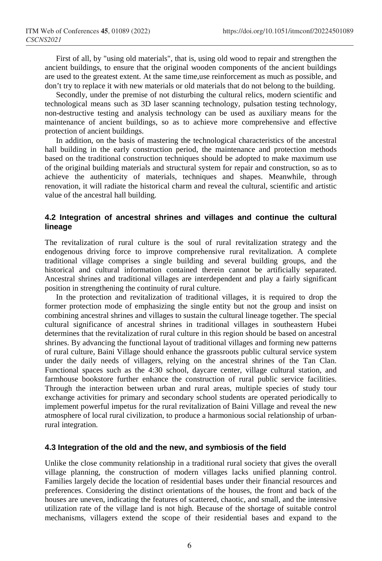First of all, by "using old materials", that is, using old wood to repair and strengthen the ancient buildings, to ensure that the original wooden components of the ancient buildings are used to the greatest extent. At the same time,use reinforcement as much as possible, and don't try to replace it with new materials or old materials that do not belong to the building.

Secondly, under the premise of not disturbing the cultural relics, modern scientific and technological means such as 3D laser scanning technology, pulsation testing technology, non-destructive testing and analysis technology can be used as auxiliary means for the maintenance of ancient buildings, so as to achieve more comprehensive and effective protection of ancient buildings.

In addition, on the basis of mastering the technological characteristics of the ancestral hall building in the early construction period, the maintenance and protection methods based on the traditional construction techniques should be adopted to make maximum use of the original building materials and structural system for repair and construction, so as to achieve the authenticity of materials, techniques and shapes. Meanwhile, through renovation, it will radiate the historical charm and reveal the cultural, scientific and artistic value of the ancestral hall building.

## **4.2 Integration of ancestral shrines and villages and continue the cultural lineage**

The revitalization of rural culture is the soul of rural revitalization strategy and the endogenous driving force to improve comprehensive rural revitalization. A complete traditional village comprises a single building and several building groups, and the historical and cultural information contained therein cannot be artificially separated. Ancestral shrines and traditional villages are interdependent and play a fairly significant position in strengthening the continuity of rural culture.

In the protection and revitalization of traditional villages, it is required to drop the former protection mode of emphasizing the single entity but not the group and insist on combining ancestral shrines and villages to sustain the cultural lineage together. The special cultural significance of ancestral shrines in traditional villages in southeastern Hubei determines that the revitalization of rural culture in this region should be based on ancestral shrines. By advancing the functional layout of traditional villages and forming new patterns of rural culture, Baini Village should enhance the grassroots public cultural service system under the daily needs of villagers, relying on the ancestral shrines of the Tan Clan. Functional spaces such as the 4:30 school, daycare center, village cultural station, and farmhouse bookstore further enhance the construction of rural public service facilities. Through the interaction between urban and rural areas, multiple species of study tour exchange activities for primary and secondary school students are operated periodically to implement powerful impetus for the rural revitalization of Baini Village and reveal the new atmosphere of local rural civilization, to produce a harmonious social relationship of urbanrural integration.

#### **4.3 Integration of the old and the new, and symbiosis of the field**

Unlike the close community relationship in a traditional rural society that gives the overall village planning, the construction of modern villages lacks unified planning control. Families largely decide the location of residential bases under their financial resources and preferences. Considering the distinct orientations of the houses, the front and back of the houses are uneven, indicating the features of scattered, chaotic, and small, and the intensive utilization rate of the village land is not high. Because of the shortage of suitable control mechanisms, villagers extend the scope of their residential bases and expand to the